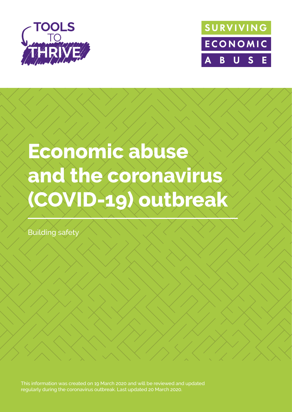



# **Economic abuse and the coronavirus (COVID-19) outbreak**

Building safety

This information was created on 19 March 2020 and will be reviewed and updated regularly during the coronavirus outbreak. Last updated 20 March 2020.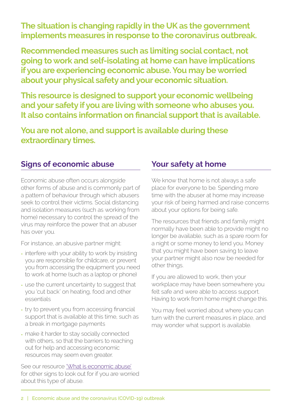**The situation is changing rapidly in the UK as the government implements measures in response to the coronavirus outbreak.** 

**Recommended measures such as limiting social contact, not going to work and self-isolating at home can have implications if you are experiencing economic abuse. You may be worried about your physical safety and your economic situation.** 

**This resource is designed to support your economic wellbeing and your safety if you are living with someone who abuses you. It also contains information on financial support that is available.** 

**You are not alone, and support is available during these extraordinary times.**

# **Signs of economic abuse**

Economic abuse often occurs alongside other forms of abuse and is commonly part of a pattern of behaviour through which abusers seek to control their victims. Social distancing and isolation measures (such as working from home) necessary to control the spread of the virus may reinforce the power that an abuser has over you.

For instance, an abusive partner might:

- interfere with your ability to work by insisting you are responsible for childcare, or prevent you from accessing the equipment you need to work at home (such as a laptop or phone)
- use the current uncertainty to suggest that you 'cut back' on heating, food and other essentials
- try to prevent you from accessing financial support that is available at this time, such as a break in mortgage payments
- make it harder to stay socially connected with others, so that the barriers to reaching out for help and accessing economic resources may seem even greater.

See our resource ['What is economic abuse'](https://survivingeconomicabuse.org/resources/) for other signs to look out for if you are worried about this type of abuse.

# **Your safety at home**

We know that home is not always a safe place for everyone to be. Spending more time with the abuser at home may increase your risk of being harmed and raise concerns about your options for being safe.

The resources that friends and family might normally have been able to provide might no longer be available, such as a spare room for a night or some money to lend you. Money that you might have been saving to leave your partner might also now be needed for other things.

If you are allowed to work, then your workplace may have been somewhere you felt safe and were able to access support. Having to work from home might change this.

You may feel worried about where you can turn with the current measures in place, and may wonder what support is available.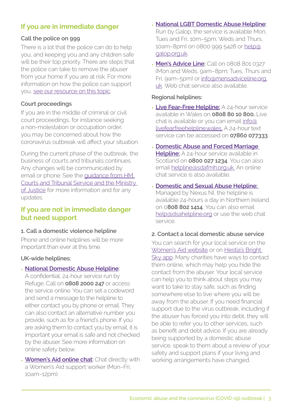# **If you are in immediate danger**

#### **Call the police on 999**

There is a lot that the police can do to help you, and keeping you and any children safe will be their top priority. There are steps that the police can take to remove the abuser from your home if you are at risk. For more information on how the police can support you, [see our resource on this topic](https://survivingeconomicabuse.org/resources/).

#### **Court proceedings**

If you are in the middle of criminal or civil court proceedings, for instance seeking a non-molestation or occupation order, you may be concerned about how the coronavirus outbreak will affect your situation.

During the current phase of the outbreak, the business of courts and tribunals continues. Any changes will be communicated by email or phone. See the [guidance from HM](https://www.gov.uk/guidance/coronavirus-covid-19-courts-and-tribunals-planning-and-preparation)  [Courts and Tribunal Service and the Ministry](https://www.gov.uk/guidance/coronavirus-covid-19-courts-and-tribunals-planning-and-preparation)  [of Justice](https://www.gov.uk/guidance/coronavirus-covid-19-courts-and-tribunals-planning-and-preparation) for more information and for any updates.

#### **If you are not in immediate danger but need support**

#### **1. Call a domestic violence helpline**

Phone and online helplines will be more important than ever at this time.

#### **UK-wide helplines:**

#### **• [National Domestic Abuse Helpline](https://www.nationaldahelpline.org.uk/):**

A confidential, 24-hour service run by Refuge. Call on **0808 2000 247** or access the service online. You can set a codeword and send a message to the helpline to either contact you by phone or email. They can also contact an alternative number you provide, such as for a friend's phone. If you are asking them to contact you by email, it is important your email is safe and not checked by the abuser. See more information on online safety below.

**• [Women's Aid online chat](https://chat.womensaid.org.uk/):** Chat directly with a Women's Aid support worker (Mon–Fri, 10am–12pm).

- **• [National LGBT Domestic Abuse Helpline:](https://www.galop.org.uk/domesticabuse/)**  Run by Galop, the service is available Mon, Tues and Fri, 10m–5pm; Weds and Thurs, 10am–8pm) on 0800 999 5428 or [help@](mailto:help@galop.org.uk) [galop.org.uk](mailto:help@galop.org.uk).
- **• [Men's Advice Line](https://mensadviceline.org.uk/):** Call on 0808 801 0327 (Mon and Weds, 9am–8pm; Tues, Thurs and Fri, 9am–5pm) or [info@mensadviceline.org.](mailto:info@mensadviceline.org.uk) [uk.](mailto:info@mensadviceline.org.uk) Web chat service also available.

#### **Regional helplines:**

- **• [Live Fear-Free Helpline:](https://www.welshwomensaid.org.uk/what-we-do/our-services/live-fear-free-helpline/)** A 24-hour service available in Wales on **0808 80 10 800.** Live chat is available or you can email [info@](mailto:info@livefearfreehelpline.wales.) [livefearfreehelpline.wales.](mailto:info@livefearfreehelpline.wales.) A 24-hour text service can be accessed on **07860 077333**.
- **• [Domestic Abuse and Forced Marriage](https://womensaid.scot/contact/#helpline)  [Helpline:](https://womensaid.scot/contact/#helpline)** A 24-hour service available in Scotland on **0800 027 1234**. You can also email [helpline@sdafmh.org.uk.](mailto:helpline@sdafmh.org.uk.) An online chat service is also available.
- **• [Domestic and Sexual Abuse Helpline:](https://dsahelpline.org/)**  Managed by Nexus NI, the helpline is available 24-hours a day in Northern Ireland on 0**808 802 1414**. You can also email [help@dsahelpline.org](mailto:help@dsahelpline.org) or use the web chat service.

#### **2. Contact a local domestic abuse service**

You can search for your local service on the [Women's Aid website](https://www.womensaid.org.uk/domestic-abuse-directory/) or on [Hestia's Bright](https://www.hestia.org/brightsky)  [Sky app](https://www.hestia.org/brightsky). Many charities have ways to contact them online, which may help you hide the contact from the abuser. Your local service can help you to think about steps you may want to take to stay safe, such as finding somewhere else to live where you will be away from the abuser. If you need financial support due to the virus outbreak, including if the abuser has forced you into debt, they will be able to refer you to other services, such as benefit and debt advice. If you are already being supported by a domestic abuse service, speak to them about a review of your safety and support plans if your living and working arrangements have changed.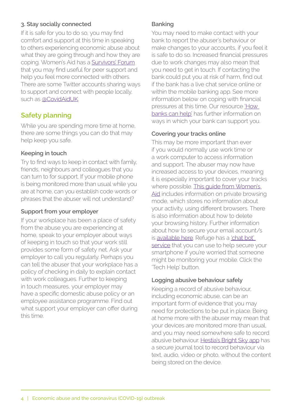#### **3. Stay socially connected**

If it is safe for you to do so, you may find comfort and support at this time in speaking to others experiencing economic abuse about what they are going through and how they are coping. Women's Aid has a [Survivors' Forum](https://survivorsforum.womensaid.org.uk/) that you may find useful for peer support and help you feel more connected with others. There are some Twitter accounts sharing ways to support and connect with people locally, such as [@CovidAidUK](https://twitter.com/CovidAidUK).

### **Safety planning**

While you are spending more time at home, there are some things you can do that may help keep you safe.

#### **Keeping in touch**

Try to find ways to keep in contact with family, friends, neighbours and colleagues that you can turn to for support. If your mobile phone is being monitored more than usual while you are at home, can you establish code words or phrases that the abuser will not understand?

#### **Support from your employer**

If your workplace has been a place of safety from the abuse you are experiencing at home, speak to your employer about ways of keeping in touch so that your work still provides some form of safety net. Ask your employer to call you regularly. Perhaps you can tell the abuser that your workplace has a policy of checking in daily to explain contact with work colleagues. Further to keeping in touch measures, your employer may have a specific domestic abuse policy or an employee assistance programme. Find out what support your employer can offer during this time.

#### **Banking**

You may need to make contact with your bank to report the abuser's behaviour or make changes to your accounts, if you feel it is safe to do so. Increased financial pressures due to work changes may also mean that you need to get in touch. If contacting the bank could put you at risk of harm, find out if the bank has a live chat service online or within the mobile banking app. See more information below on coping with financial pressures at this time. Our resource ['How](https://survivingeconomicabuse.org/resources/)  [banks can help'](https://survivingeconomicabuse.org/resources/) has further information on ways in which your bank can support you.

#### **Covering your tracks online**

This may be more important than ever if you would normally use work time or a work computer to access information and support. The abuser may now have increased access to your devices, meaning it is especially important to cover your tracks where possible. [This guide from Women's](https://www.womensaid.org.uk/cover-your-tracks-online/)  [Aid](https://www.womensaid.org.uk/cover-your-tracks-online/) includes information on private browsing mode, which stores no information about your activity, using different browsers. There is also information about how to delete your browsing history. Further information about how to secure your email account/s is [available here](https://www.techsafety.org/technology-safety-quick-tips). Refuge has a 'chat bot' [service](https://www.refuge.org.uk/our-work/our-services/tech-abuse-empowerment-service/) that you can use to help secure your smartphone if you're worried that someone might be monitoring your mobile. Click the 'Tech Help' button.

#### **Logging abusive behaviour safely**

Keeping a record of abusive behaviour, including economic abuse, can be an important form of evidence that you may need for protections to be put in place. Being at home more with the abuser may mean that your devices are monitored more than usual, and you may need somewhere safe to record abusive behaviour. [Hestia's Bright Sky app](https://www.hestia.org/brightsky) has a secure journal tool to record behaviour via text, audio, video or photo, without the content being stored on the device.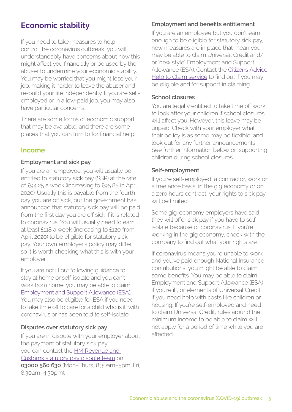# **Economic stability**

If you need to take measures to help control the coronavirus outbreak, you will understandably have concerns about how this might affect you financially or be used by the abuser to undermine your economic stability. You may be worried that you might lose your job, making it harder to leave the abuser and re-build your life independently. If you are selfemployed or in a low-paid job, you may also have particular concerns.

There are some forms of economic support that may be available, and there are some places that you can turn to for financial help.

#### **Income**

#### **Employment and sick pay**

If you are an employee, you will usually be entitled to statutory sick pay (SSP) at the rate of £94.25 a week (increasing to £95.85 in April 2020). Usually this is payable from the fourth day you are off sick, but the government has announced that statutory sick pay will be paid from the first day you are off sick if it is related to coronavirus. You will usually need to earn at least £118 a week (increasing to £120 from April 2020) to be eligible for statutory sick pay. Your own employer's policy may differ, so it is worth checking what this is with your employer.

If you are not ill but following guidance to stay at home or self-isolate and you can't work from home, you may be able to claim [Employment and Support Allowance \(ESA\)](https://www.gov.uk/employment-support-allowance/how-to-claim). You may also be eligible for ESA if you need to take time off to care for a child who is ill with coronavirus or has been told to self-isolate.

#### **Disputes over statutory sick pay**

If you are in dispute with your employer about the payment of statutory sick pay, you can contact the [HM Revenue and](https://www.gov.uk/statutory-sick-pay/how-to-claim)  [Customs statutory pay dispute team](https://www.gov.uk/statutory-sick-pay/how-to-claim) on **03000 560 630** (Mon–Thurs, 8.30am–5pm; Fri, 8.30am–4.30pm).

#### **Employment and benefits entitlement**

If you are an employee but you don't earn enough to be eligible for statutory sick pay, new measures are in place that mean you may be able to claim Universal Credit and/ or 'new style' Employment and Support Allowance (ESA). Contact the Citizens Advice [Help to Claim service](https://www.citizensadvice.org.uk/about-us/contact-us/contact-us/help-to-claim/) to find out if you may be eligible and for support in claiming.

#### **School closures**

You are legally entitled to take time off work to look after your children if school closures will affect you. However, this leave may be unpaid. Check with your employer what their policy is as some may be flexible, and look out for any further announcements. See further information below on supporting children during school closures.

#### **Self-employment**

If you're self-employed, a contractor, work on a freelance basis, in the gig economy or on a zero hours contract, your rights to sick pay will be limited.

Some gig-economy employers have said they will offer sick pay if you have to selfisolate because of coronavirus. If you're working in the gig economy, check with the company to find out what your rights are.

If coronavirus means you're unable to work and you've paid enough National Insurance contributions, you might be able to claim some benefits. You may be able to claim Employment and Support Allowance (ESA) if you're ill, or elements of Universal Credit if you need help with costs like children or housing. If you're self-employed and need to claim Universal Credit, rules around the minimum income to be able to claim will not apply for a period of time while you are affected.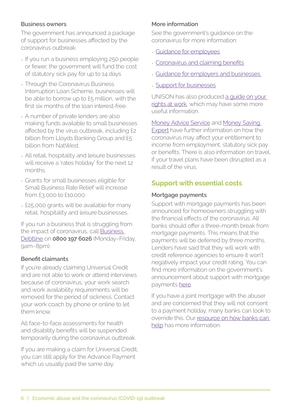#### **Business owners**

The government has announced a package of support for businesses affected by the coronavirus outbreak.

- If you run a business employing 250 people or fewer, the government will fund the cost of statutory sick pay for up to 14 days
- Through the Coronavirus Business Interruption Loan Scheme, businesses will be able to borrow up to £5 million, with the first six months of the loan interest-free.
- A number of private lenders are also making funds available to small businesses affected by the virus outbreak, including £2 billion from Lloyds Banking Group and £5 billion from NatWest.
- All retail, hospitality and leisure businesses will receive a 'rates holiday' for the next 12 months.
- Grants for small businesses eligible for Small Business Rate Relief will increase from £3,000 to £10,000.
- £25,000 grants will be available for many retail, hospitality and leisure businesses.

If you run a business that is struggling from the impact of coronavirus, call [Business](https://www.businessdebtline.org/)  [Debtline](https://www.businessdebtline.org/) on **0800 197 6026** (Monday–Friday, 9am–8pm).

#### **Benefit claimants**

If you're already claiming Universal Credit and are not able to work or attend interviews because of coronavirus, your work search and work availability requirements will be removed for the period of sickness. Contact your work coach by phone or online to let them know.

All face-to-face assessments for health and disability benefits will be suspended temporarily during the coronavirus outbreak.

If you are making a claim for Universal Credit, you can still apply for the Advance Payment which us usually paid the same day.

#### **More information**

See the government's guidance on the coronavirus for more information:

- [Guidance for employees](https://www.gov.uk/government/publications/guidance-to-employers-and-businesses-about-covid-19/covid-19-guidance-for-employees)
- [Coronavirus and claiming benefits](https://www.understandinguniversalcredit.gov.uk/coronavirus/)
- [Guidance for employers and businesses](https://www.gov.uk/government/publications/guidance-to-employers-and-businesses-about-covid-19/guidance-for-employers-and-businesses-on-coronavirus-covid-19)
- [Support for businesses](https://www.gov.uk/government/publications/guidance-to-employers-and-businesses-about-covid-19/covid-19-support-for-businesses)

UNISON has also produced a quide on your [rights at work](https://www.unison.org.uk/), which may have some more useful information.

[Money Advice Service](https://www.moneyadviceservice.org.uk/en/articles/coronavirus-what-it-means-for-you) and Money Saving [Expert](https://www.moneysavingexpert.com/news/2020/03/uk-coronavirus-help-and-your-rights/) have further information on how the coronavirus may affect your entitlement to income from employment, statutory sick pay or benefits. There is also information on travel, if your travel plans have been disrupted as a result of the virus.

# **Support with essential costs**

#### **Mortgage payments**

Support with mortgage payments has been announced for homeowners struggling with the financial effects of the coronavirus. All banks should offer a three-month break from mortgage payments. This means that the payments will be deferred by three months. Lenders have said that they will work with credit reference agencies to ensure it won't negatively impact your credit rating. You can find more information on the government's announcement about support with mortgage payments [here](https://www.ukfinance.org.uk/press/press-releases/uk-finance-responds-statement-chancellor-regarding-support-mortgage-customers).

If you have a joint mortgage with the abuser and are concerned that they will not consent to a payment holiday, many banks can look to override this. Our [resource on how banks can](https://survivingeconomicabuse.org/resources/)  [help](https://survivingeconomicabuse.org/resources/) has more information.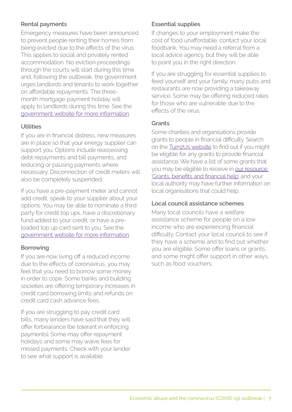#### **Rental payments**

Emergency measures have been announced to prevent people renting their homes from being evicted due to the effects of the virus. This applies to social and privately rented accommodation. No eviction proceedings through the courts will start during this time and, following the outbreak, the government urges landlords and tenants to work together on affordable repayments. The threemonth mortgage payment holiday will apply to landlords during this time. See the [government website for more information](https://www.gov.uk/government/news/complete-ban-on-evictions-and-additional-protection-for-renters).

#### **Utilities**

If you are in financial distress, new measures are in place so that your energy supplier can support you. Options include reassessing debt repayments and bill payments, and reducing or pausing payments where necessary. Disconnection of credit meters will also be completely suspended.

If you have a pre-payment meter and cannot add credit, speak to your supplier about your options. You may be able to nominate a third party for credit top ups, have a discretionary fund added to your credit, or have a preloaded top up card sent to you. See the [government website for more information](https://www.gov.uk/government/news/government-agrees-measures-with-energy-industry-to-support-vulnerable-people-through-covid-19).

#### **Borrowing**

If you are now living off a reduced income due to the effects of coronavirus, you may feel that you need to borrow some money in order to cope. Some banks and building societies are offering temporary increases in credit card borrowing limits and refunds on credit card cash advance fees.

If you are struggling to pay credit card bills, many lenders have said that they will offer forbearance (be tolerant in enforcing payments). Some may offer repayment holidays and some may waive fees for missed payments. Check with your lender to see what support is available.

#### **Essential supplies**

If changes to your employment make the cost of food unaffordable, contact your local foodbank. You may need a referral from a local advice agency, but they will be able to point you in the right direction.

If you are struggling for essential supplies to feed yourself and your family, many pubs and restaurants are now providing a takeaway service. Some may be offering reduced rates for those who are vulnerable due to the effects of the virus.

#### **Grants**

Some charities and organisations provide grants to people in financial difficulty. Search on the [Turn2Us website](https://www.turn2us.org.uk/Get-Support) to find out if you might be eligible for any grants to provide financial assistance. We have a list of some grants that you may be eligible to receive in [our resource](https://survivingeconomicabuse.org/resources/)  ['Grants, benefits and financial help'](https://survivingeconomicabuse.org/resources/) and your local authority may have further information on local organisations that could help.

#### **Local council assistance schemes**

Many local councils have a welfare assistance scheme for people on a low income who are experiencing financial difficulty. Contact your local council to see if they have a scheme and to find out whether you are eligible. Some offer loans or grants, and some might offer support in other ways, such as food vouchers.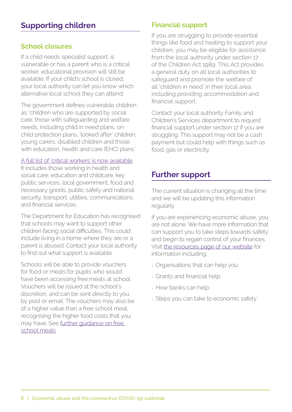#### **School closures**

If a child needs specialist support, is vulnerable or has a parent who is a critical worker, educational provision will still be available. If your child's school is closed, your local authority can let you know which alternative local school they can attend.

The government defines vulnerable children as: 'children who are supported by social care, those with safeguarding and welfare needs, including child in need plans, on child protection plans, 'looked after' children, young carers, disabled children and those with education, health and care (EHC) plans.'

#### [A full list of 'critical workers'](https://www.gov.uk/government/publications/coronavirus-covid-19-maintaining-educational-provision/guidance-for-schools-colleges-and-local-authorities-on-maintaining-educational-provision) is now available.

It includes those working in health and social care, education and childcare, key public services, local government, food and necessary goods, public safety and national security, transport, utilities, communications and financial services.

The Department for Education has recognised that schools may want to support other children facing social difficulties. This could include living in a home where they are or a parent is abused. Contact your local authority to find out what support is available.

Schools will be able to provide vouchers for food or meals for pupils who would have been accessing free meals at school. Vouchers will be issued at the school's discretion, and can be sent directly to you by post or email. The vouchers may also be of a higher value than a free school meal, recognising the higher food costs that you may have. See [further guidance on free](https://www.gov.uk/government/publications/covid-19-free-school-meals-guidance)  [school meals.](https://www.gov.uk/government/publications/covid-19-free-school-meals-guidance)

# **Financial support**

If you are struggling to provide essential things like food and heating to support your children, you may be eligible for assistance from the local authority under section 17 of the Children Act 1989. This Act provides a general duty on all local authorities to safeguard and promote the welfare of all 'children in need' in their local area, including providing accommodation and financial support.

Contact your local authority Family and Children's Services department to request financial support under section 17 if you are struggling. This support may not be a cash payment but could help with things such as food, gas or electricity.

# **Further support**

The current situation is changing all the time and we will be updating this information regularly.

If you are experiencing economic abuse, you are not alone. We have more information that can support you to take steps towards safety and begin to regain control of your finances. Visit [the resources page of our website](http://www.survivingeconomicabuse.org/resources) for information including:

- Organisations that can help you
- Grants and financial help
- How banks can help
- Steps you can take to economic safety